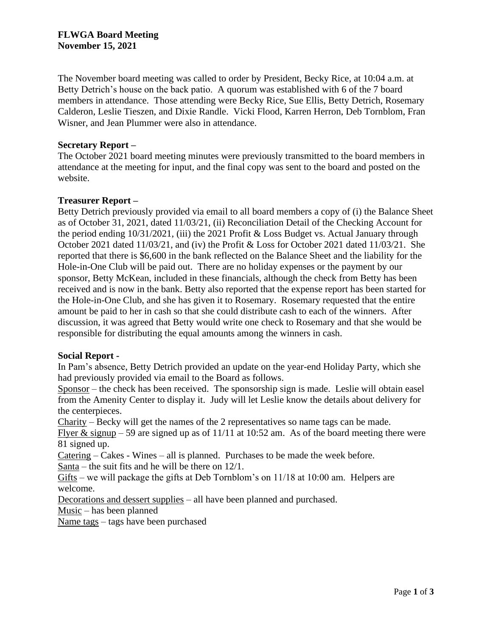The November board meeting was called to order by President, Becky Rice, at 10:04 a.m. at Betty Detrich's house on the back patio. A quorum was established with 6 of the 7 board members in attendance. Those attending were Becky Rice, Sue Ellis, Betty Detrich, Rosemary Calderon, Leslie Tieszen, and Dixie Randle. Vicki Flood, Karren Herron, Deb Tornblom, Fran Wisner, and Jean Plummer were also in attendance.

## **Secretary Report –**

The October 2021 board meeting minutes were previously transmitted to the board members in attendance at the meeting for input, and the final copy was sent to the board and posted on the website.

## **Treasurer Report –**

Betty Detrich previously provided via email to all board members a copy of (i) the Balance Sheet as of October 31, 2021, dated 11/03/21, (ii) Reconciliation Detail of the Checking Account for the period ending 10/31/2021, (iii) the 2021 Profit & Loss Budget vs. Actual January through October 2021 dated 11/03/21, and (iv) the Profit & Loss for October 2021 dated 11/03/21. She reported that there is \$6,600 in the bank reflected on the Balance Sheet and the liability for the Hole-in-One Club will be paid out. There are no holiday expenses or the payment by our sponsor, Betty McKean, included in these financials, although the check from Betty has been received and is now in the bank. Betty also reported that the expense report has been started for the Hole-in-One Club, and she has given it to Rosemary. Rosemary requested that the entire amount be paid to her in cash so that she could distribute cash to each of the winners. After discussion, it was agreed that Betty would write one check to Rosemary and that she would be responsible for distributing the equal amounts among the winners in cash.

#### **Social Report -**

In Pam's absence, Betty Detrich provided an update on the year-end Holiday Party, which she had previously provided via email to the Board as follows.

Sponsor – the check has been received. The sponsorship sign is made. Leslie will obtain easel from the Amenity Center to display it. Judy will let Leslie know the details about delivery for the centerpieces.

Charity – Becky will get the names of the 2 representatives so name tags can be made. Flyer & signup – 59 are signed up as of  $11/11$  at 10:52 am. As of the board meeting there were 81 signed up.

Catering – Cakes - Wines – all is planned. Purchases to be made the week before.

Santa – the suit fits and he will be there on 12/1.

Gifts – we will package the gifts at Deb Tornblom's on 11/18 at 10:00 am. Helpers are welcome.

Decorations and dessert supplies – all have been planned and purchased.

Music – has been planned

Name tags – tags have been purchased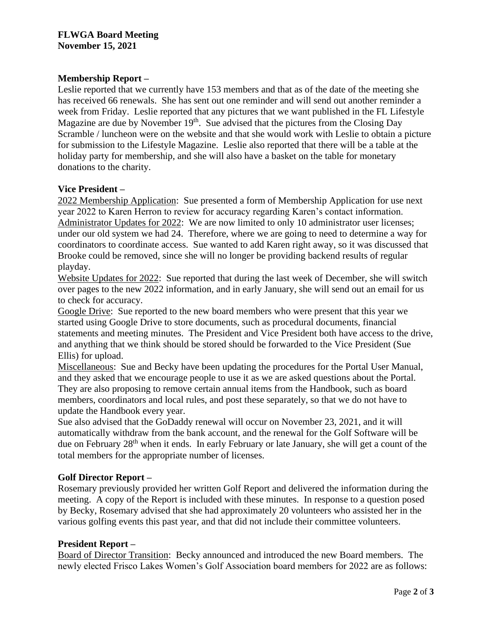# **Membership Report –**

Leslie reported that we currently have 153 members and that as of the date of the meeting she has received 66 renewals. She has sent out one reminder and will send out another reminder a week from Friday. Leslie reported that any pictures that we want published in the FL Lifestyle Magazine are due by November  $19<sup>th</sup>$ . Sue advised that the pictures from the Closing Day Scramble / luncheon were on the website and that she would work with Leslie to obtain a picture for submission to the Lifestyle Magazine. Leslie also reported that there will be a table at the holiday party for membership, and she will also have a basket on the table for monetary donations to the charity.

## **Vice President –**

2022 Membership Application: Sue presented a form of Membership Application for use next year 2022 to Karen Herron to review for accuracy regarding Karen's contact information. Administrator Updates for 2022: We are now limited to only 10 administrator user licenses; under our old system we had 24. Therefore, where we are going to need to determine a way for coordinators to coordinate access. Sue wanted to add Karen right away, so it was discussed that Brooke could be removed, since she will no longer be providing backend results of regular playday.

Website Updates for 2022: Sue reported that during the last week of December, she will switch over pages to the new 2022 information, and in early January, she will send out an email for us to check for accuracy.

Google Drive: Sue reported to the new board members who were present that this year we started using Google Drive to store documents, such as procedural documents, financial statements and meeting minutes. The President and Vice President both have access to the drive, and anything that we think should be stored should be forwarded to the Vice President (Sue Ellis) for upload.

Miscellaneous: Sue and Becky have been updating the procedures for the Portal User Manual, and they asked that we encourage people to use it as we are asked questions about the Portal. They are also proposing to remove certain annual items from the Handbook, such as board members, coordinators and local rules, and post these separately, so that we do not have to update the Handbook every year.

Sue also advised that the GoDaddy renewal will occur on November 23, 2021, and it will automatically withdraw from the bank account, and the renewal for the Golf Software will be due on February 28<sup>th</sup> when it ends. In early February or late January, she will get a count of the total members for the appropriate number of licenses.

# **Golf Director Report –**

Rosemary previously provided her written Golf Report and delivered the information during the meeting. A copy of the Report is included with these minutes. In response to a question posed by Becky, Rosemary advised that she had approximately 20 volunteers who assisted her in the various golfing events this past year, and that did not include their committee volunteers.

# **President Report –**

Board of Director Transition: Becky announced and introduced the new Board members. The newly elected Frisco Lakes Women's Golf Association board members for 2022 are as follows: